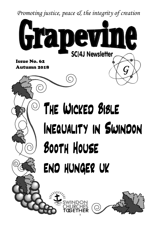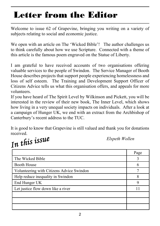#### **Letter from the Editor**

Welcome to issue 62 of Grapevine, bringing you writing on a variety of subjects relating to social and economic justice.

We open with an article on The 'Wicked Bible'! The author challenges us to think carefully about how we use Scripture. Connected with a theme of this article is the famous poem engraved on the Statue of Liberty.

I am grateful to have received accounts of two organisations offering valuable services to the people of Swindon. The Service Manager of Booth House describes projects that support people experiencing homelessness and loss of self esteem. The Training and Development Support Officer of Citizens Advice tells us what this organisation offers, and appeals for more volunteers.

If you have heard of The Spirit Level by Wilkinson and Pickett, you will be interested in the review of their new book, The Inner Level, which shows how living in a very unequal society impacts on individuals. After a look at a campaign of Hunger UK, we end with an extract from the Archbishop of Canterbury's recent address to the TUC.

It is good to know that Grapevine is still valued and thank you for donations

received.<br>In this issue

*Elspeth Wollen*

|                                           | Page |
|-------------------------------------------|------|
| The Wicked Bible                          | 3    |
| <b>Booth House</b>                        | 6    |
| Volunteering with Citizens Advice Swindon |      |
| Help reduce inequality in Swindon         | 8    |
| End Hunger UK                             | 9    |
| Let justice flow down like a river        |      |
|                                           |      |
|                                           |      |
|                                           |      |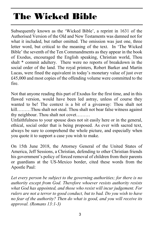# **The Wicked Bible**

Subsequently known as the 'Wicked Bible', a reprint in 1631 of the Authorised Version of the Old and New Testaments was damned not for what it included, but rather omitted. The omission was just one, three letter word, but critical to the meaning of the text. In 'The Wicked Bible' the seventh of the Ten Commandments as they appear in the book of Exodus, encouraged the English speaking, Christian world, Thou shalt \* commit adultery. There were no reports of breakdown in the social order of the land. The royal printers, Robert Barker and Martin Lucas, were fined the equivalent in today's monetary value of just over £45,000 and most copies of the offending volume were committed to the fire.

Not that anyone reading this part of Exodus for the first time, and in this flawed version, would have been led astray, unless of course they wanted to be! The context is a bit of a giveaway: Thou shalt not kill………Thou shalt not steal. Thou shalt not bear false witness against thy neighbour. Thou shalt not covet………

Unfaithfulness to your spouse does not sit easily here or in the general, ethical, social order that is being proposed. As ever with sacred text, always be sure to comprehend the whole picture, and especially when you quote it to support a case you wish to make.

On 15th June 2018, the Attorney General of the United States of America, Jeff Sessions, a Christian, defending to other Christian friends his government's policy of forced removal of children from their parents or guardians at the US-Mexico border, cited these words from the Apostle Paul:

*Let every person be subject to the governing authorities; for there is no authority except from God. Therefore whoever resists authority resists what God has appointed, and those who resist will incur judgement. For rulers are not a terror to good conduct, but to bad. Do you wish to have no fear of the authority? Then do what is good, and you will receive its approval. (Romans 13:1-3)*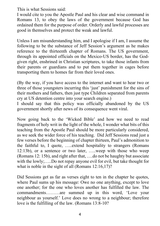This is what Sessions said:

I would cite to you the Apostle Paul and his clear and wise command in Romans 13, to obey the laws of the government because God has ordained them for the purpose of order. Orderly and lawful processes are good in themselves and protect the weak and lawful.

Unless I am misunderstanding him, and I apologise if I am, I assume the following to be the substance of Jeff Session's argument as he makes reference to the thirteenth chapter of Romans. The US government, through its appointed officials on the Mexico-US border, has the Godgiven right, enshrined in Christian scriptures, to take those infants from their parents or guardians and to put them together in cages before transporting them to homes far from their loved ones.

(By the way, if you have access to the internet and want to hear two or three of those youngsters incurring this 'just' punishment for the sins of their mothers and fathers, then just type Children separated from parents cry at US detention centre into your search engine.)

I should say that this policy was officially abandoned by the US government shortly after news of its consequence went viral.

Now going back to the 'Wicked Bible' and how we need to read fragments of holy writ in the light of the whole, I wonder what bits of this teaching from the Apostle Paul should be more particularly considered, as we seek the wider force of his teaching. Did Jeff Sessions read just a few verses before the beginning of chapter thirteen, Paul's admonition to the faithful to, I quote, …..extend hospitality to strangers (Romans 12:13b), or a sentence or two later, …..weep with those who weep (Romans 12: 15b), and right after that, ….do not be haughty but associate with the lowly;…..Do not repay anyone evil for evil, but take thought for what is noble in the sight of all (Romans 12:16,17)?

Did Sessions get as far as verses eight to ten in the chapter he quotes, where Paul sums up his message: Owe no one anything, except to love one another; for the one who loves another has fulfilled the law. The commandments………are summed up in this word, 'Love your neighbour as yourself.' Love does no wrong to a neighbour; therefore love is the fulfilling of the law. (Romans 13:8-10?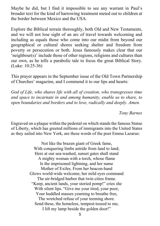Maybe he did, but I find it impossible to see any warrant in Paul's broader text for the kind of harrowing treatment meted out to children at the border between Mexico and the USA.

Explore the Biblical terrain thoroughly, both Old and New Testaments, and we will not lose sight of an arc of travel towards welcoming and including as equals those who come into our midst from beyond our geographical or cultural shores seeking shelter and freedom from poverty or persecution or both. Jesus famously makes clear that our 'neighbour(s)' include those of other regions, religions and cultures than our own, as he tells a parabolic tale to focus the great Biblical Story. (Luke: 10:25-36)

This prayer appears in the September issue of the Old Town Partnership of Churches' magazine, and I commend it to our lips and hearts:

*God of Life, who shares life with all of creation, who transgresses time and space to incarnate in and among humanity, enable us to share, to open boundaries and borders and to love, radically and deeply. Amen.*

*Tony Barnes*

Engraved on a plaque within the pedestal on which stands the famous Statue of Liberty, which has greeted millions of immigrants into the United States as they sailed into New York, are these words of the poet Emma Lazarus:

> Not like the brazen giant of Greek fame, With conquering limbs astride from land to land; Here at our sea-washed, sunset gates shall stand A mighty woman with a torch, whose flame Is the imprisoned lightning, and her name Mother of Exiles. From her beacon-hand Glows world-wide welcome; her mild eyes command The air-bridged harbor that twin cities frame. "Keep, ancient lands, your storied pomp!" cries she With silent lips. "Give me your tired, your poor, Your huddled masses yearning to breathe free, The wretched refuse of your teeming shore. Send these, the homeless, tempest-tossed to me, I lift my lamp beside the golden door!"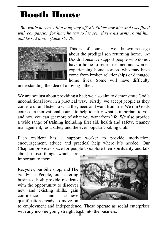#### **Booth House**

*"But while he was still a long way off, his father saw him and was filled with compassion for him; he ran to his son, threw his arms round him and kissed him." (Luke 15: 20)*



This is, of course, a well known passage about the prodigal son returning home. At Booth House we support people who do not have a home to return to: men and women experiencing homelessness, who may have come from broken relationships or damaged home lives. Some will have difficulty

understanding the idea of a loving father.

We are not just about providing a bed; we also aim to demonstrate God's unconditional love in a practical way. Firstly, we accept people as they come to us and listen to what they need and want from life. We run Goals courses, a motivational course to help identify what is important to you and how you can get more of what you want from life. We also provide a wide range of training including first aid, health and safety, tenancy management, food safety and the ever popular cooking club.

Each resident has a support worker to provide motivation, encouragement, advice and practical help where it's needed. Our Chaplain provides space for people to explore their spirituality and talk

about those things which are important to them.

Recycles, our bike shop, and The Sandwich People, our catering business, both provide residents with the opportunity to discover new and existing skills, gain confidence and achieve qualifications ready to move on



with any income going straight back into the business. to employment and independence. These operate as social enterprises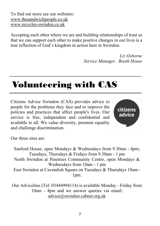To find out more see our websites: www.thesandwichpeople.co.uk www.recycles-swindon.co.uk

Accepting each other where we are and building relationships of trust so that we can support each other to make positive changes in our lives is a true reflection of God's kingdom in action here in Swindon.

> *Liz Osborne Service Manager, Booth House*

#### **Volunteering with CAS**

Citizens Advice Swindon (CAS) provides advice to people for the problems they face and to improve the policies and practices that affect people's lives. Our service is free, independent and confidential and available to all. We value diversity, promote equality and challenge discrimination.



Our three sites are:

Sanford House, open Mondays & Wednesdays from 9.30am - 4pm; Tuesdays, Thursdays & Fridays from 9.30am - 1 pm North Swindon at Pinetrees Community Centre, open Mondays & Wednesdays from 10am - 1 pm East Swindon at Cavendish Square on Tuesdays & Thursdays 10am - 1pm.

Our Adviceline (Tel: 03444994114) is available Monday - Friday from 10am - 4pm and we answer queries via email: advice@swindon.cabnet.org.uk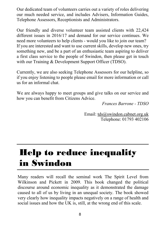Our dedicated team of volunteers carries out a variety of roles delivering our much needed service, and includes Advisers, Information Guides, Telephone Assessors, Receptionists and Administrators.

Our friendly and diverse volunteer team assisted clients with 22,424 different issues in 2016/17 and demand for our service continues. We need more volunteers to help clients - would you like to join our team? If you are interested and want to use current skills, develop new ones, try something new, and be a part of an enthusiastic team aspiring to deliver a first class service to the people of Swindon, then please get in touch with our Training & Development Support Officer (TDSO).

Currently, we are also seeking Telephone Assessors for our helpline, so if you enjoy listening to people please email for more information or call us for an informal chat.

We are always happy to meet groups and give talks on our service and how you can benefit from Citizens Advice.

*Frances Barrone - TDSO*

Email: tds@swindon.cabnet.org.uk Telephone: 01793 402106

### **Help to reduce inequality in Swindon**

Many readers will recall the seminal work The Spirit Level from Wilkinson and Pickett in 2009. This book changed the political discourse around economic inequality as it demonstrated the damage caused to all of us by living in an unequal society. The book showed very clearly how inequality impacts negatively on a range of health and social issues and how the UK is, still, at the wrong end of this scale.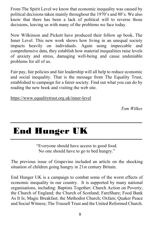From The Spirit Level we know that economic inequality was caused by political decisions taken mainly throughout the 1970's and 80's. We also know that there has been a lack of political will to reverse those decisions, leaving us with many of the problems we face today.

Now Wilkinson and Pickett have produced their follow up book, The Inner Level. This new work shows how living in an unequal society impacts heavily on individuals. Again using impeccable and comprehensive data, they establish how material inequalities raise levels of anxiety and stress, damaging well-being and cause undeniable problems for all of us.

Fair pay, fair policies and fair leadership will all help to reduce economic and social inequality. That is the message from The Equality Trust, established to campaign for a fairer society. Find out what you can do by reading the new book and visiting the web site.

https://www.equalitytrust.org.uk/inner-level

*Tom Wilkes*

### **End Hunger UK**

"Everyone should have access to good food. No one should have to go to bed hungry."

The previous issue of Grapevine included an article on the shocking situation of children going hungry in 21st century Britain.

End Hunger UK is a campaign to combat some of the worst effects of economic inequality in our country. It is supported by many national organisations, including: Baptists Together; Church Action on Poverty; the Church of England; the Church of Scotland; FareShare; Food Bank As It Is; Magic Breakfast; the Methodist Church; Oxfam; Quaker Peace and Social Witness; The Trussell Trust and the United Reformed Church.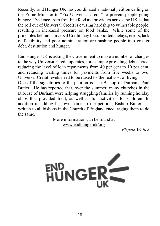Recently, End Hunger UK has coordinated a national petition calling on the Prime Minister to "Fix Universal Credit" to prevent people going hungry. Evidence from frontline food aid providers across the UK is that the roll out of Universal Credit is causing hardship to vulnerable people, resulting in increased pressure on food banks. While some of the principles behind Universal Credit may be supported, delays, errors, lack of flexibility and poor administration are pushing people into greater debt, destitution and hunger.

End Hunger UK is asking the Government to make a number of changes to the way Universal Credit operates, for example providing debt advice, reducing the level of loan repayments from 40 per cent to 10 per cent, and reducing waiting times for payments from five weeks to two. Universal Credit levels need to be raised to 'the real cost of living.'

One of the signatories to the petition is The Bishop of Durham, Paul Butler. He has reported that, over the summer, many churches in the Diocese of Durham were helping struggling families by running holiday clubs that provided food, as well as fun activities, for children. In addition to adding his own name to the petition, Bishop Butler has written to all bishops in the Church of England encouraging them to do the same.

More information can be found at www.endhungeruk/org

*Elspeth Wollen*

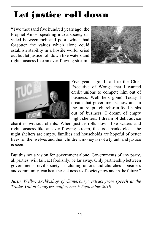## **Let justice roll down**

"Two thousand five hundred years ago, the Prophet Amos, speaking into a society divided between rich and poor, which had forgotten the values which alone could establish stability in a hostile world, cried out but let justice roll down like waters and righteousness like an ever-flowing stream.





Five years ago, I said to the Chief Executive of Wonga that I wanted credit unions to compete him out of business. Well he's gone! Today I dream that governments, now and in the future, put church-run food banks out of business. I dream of empty night shelters. I dream of debt advice

charities without clients. When justice rolls down like waters and righteousness like an ever-flowing stream, the food banks close, the night shelters are empty, families and households are hopeful of better lives for themselves and their children, money is not a tyrant, and justice is seen.

But this not a vision for government alone. Governments of any party, all parties, will fail, act foolishly, be far away. Only partnership between governments, civil society - including unions and churches - business and community, can heal the sicknesses of society now and in the future."

*Justin Welby, Archbishop of Canterbury: extract from speech at the Trades Union Congress conference, 9 September 2018*